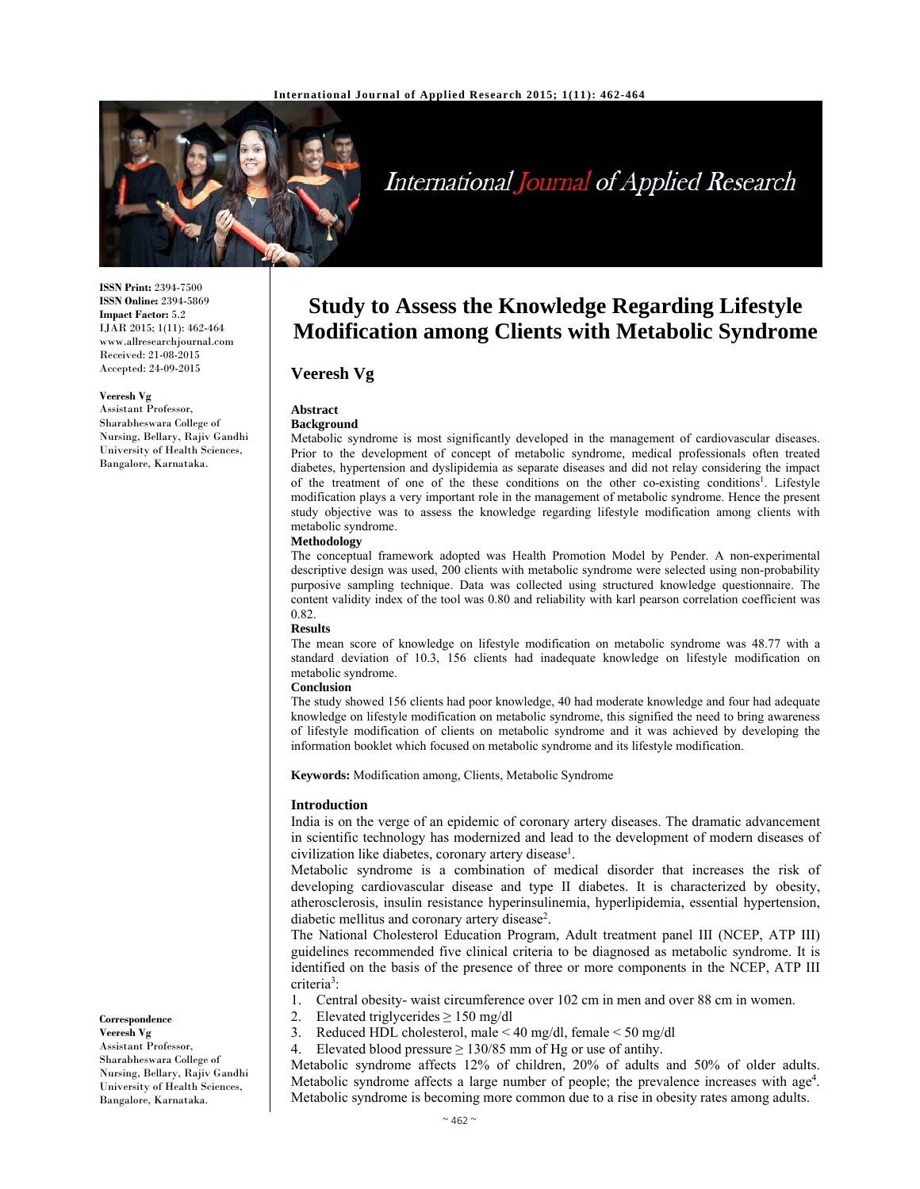

# International Journal of Applied Research

**ISSN Print:** 2394-7500 **ISSN Online:** 2394-5869 **Impact Factor:** 5.2 IJAR 2015; 1(11): 462-464 www.allresearchjournal.com Received: 21-08-2015 Accepted: 24-09-2015

#### **Veeresh Vg**

Assistant Professor, Sharabheswara College of Nursing, Bellary, Rajiv Gandhi University of Health Sciences, Bangalore, Karnataka.

**Correspondence Veeresh Vg**  Assistant Professor, Sharabheswara College of Nursing, Bellary, Rajiv Gandhi

University of Health Sciences, Bangalore, Karnataka.

## **Study to Assess the Knowledge Regarding Lifestyle Modification among Clients with Metabolic Syndrome**

## **Veeresh Vg**

#### **Abstract Background**

#### Metabolic syndrome is most significantly developed in the management of cardiovascular diseases. Prior to the development of concept of metabolic syndrome, medical professionals often treated diabetes, hypertension and dyslipidemia as separate diseases and did not relay considering the impact of the treatment of one of the these conditions on the other co-existing conditions<sup>1</sup>. Lifestyle modification plays a very important role in the management of metabolic syndrome. Hence the present study objective was to assess the knowledge regarding lifestyle modification among clients with metabolic syndrome.

#### **Methodology**

The conceptual framework adopted was Health Promotion Model by Pender. A non-experimental descriptive design was used, 200 clients with metabolic syndrome were selected using non-probability purposive sampling technique. Data was collected using structured knowledge questionnaire. The content validity index of the tool was 0.80 and reliability with karl pearson correlation coefficient was 0.82.

#### **Results**

The mean score of knowledge on lifestyle modification on metabolic syndrome was 48.77 with a standard deviation of 10.3, 156 clients had inadequate knowledge on lifestyle modification on metabolic syndrome.

## **Conclusion**

The study showed 156 clients had poor knowledge, 40 had moderate knowledge and four had adequate knowledge on lifestyle modification on metabolic syndrome, this signified the need to bring awareness of lifestyle modification of clients on metabolic syndrome and it was achieved by developing the information booklet which focused on metabolic syndrome and its lifestyle modification.

**Keywords:** Modification among, Clients, Metabolic Syndrome

## **Introduction**

India is on the verge of an epidemic of coronary artery diseases. The dramatic advancement in scientific technology has modernized and lead to the development of modern diseases of civilization like diabetes, coronary artery disease<sup>1</sup>.

Metabolic syndrome is a combination of medical disorder that increases the risk of developing cardiovascular disease and type II diabetes. It is characterized by obesity, atherosclerosis, insulin resistance hyperinsulinemia, hyperlipidemia, essential hypertension, diabetic mellitus and coronary artery disease<sup>2</sup>.

The National Cholesterol Education Program, Adult treatment panel III (NCEP, ATP III) guidelines recommended five clinical criteria to be diagnosed as metabolic syndrome. It is identified on the basis of the presence of three or more components in the NCEP, ATP III criteria<sup>3</sup>:

1. Central obesity- waist circumference over 102 cm in men and over 88 cm in women.

- 2. Elevated triglycerides  $\geq 150$  mg/dl
- 3. Reduced HDL cholesterol, male < 40 mg/dl, female < 50 mg/dl
- 4. Elevated blood pressure  $\geq 130/85$  mm of Hg or use of antihy.

Metabolic syndrome affects 12% of children, 20% of adults and 50% of older adults. Metabolic syndrome affects a large number of people; the prevalence increases with age<sup>4</sup>. Metabolic syndrome is becoming more common due to a rise in obesity rates among adults.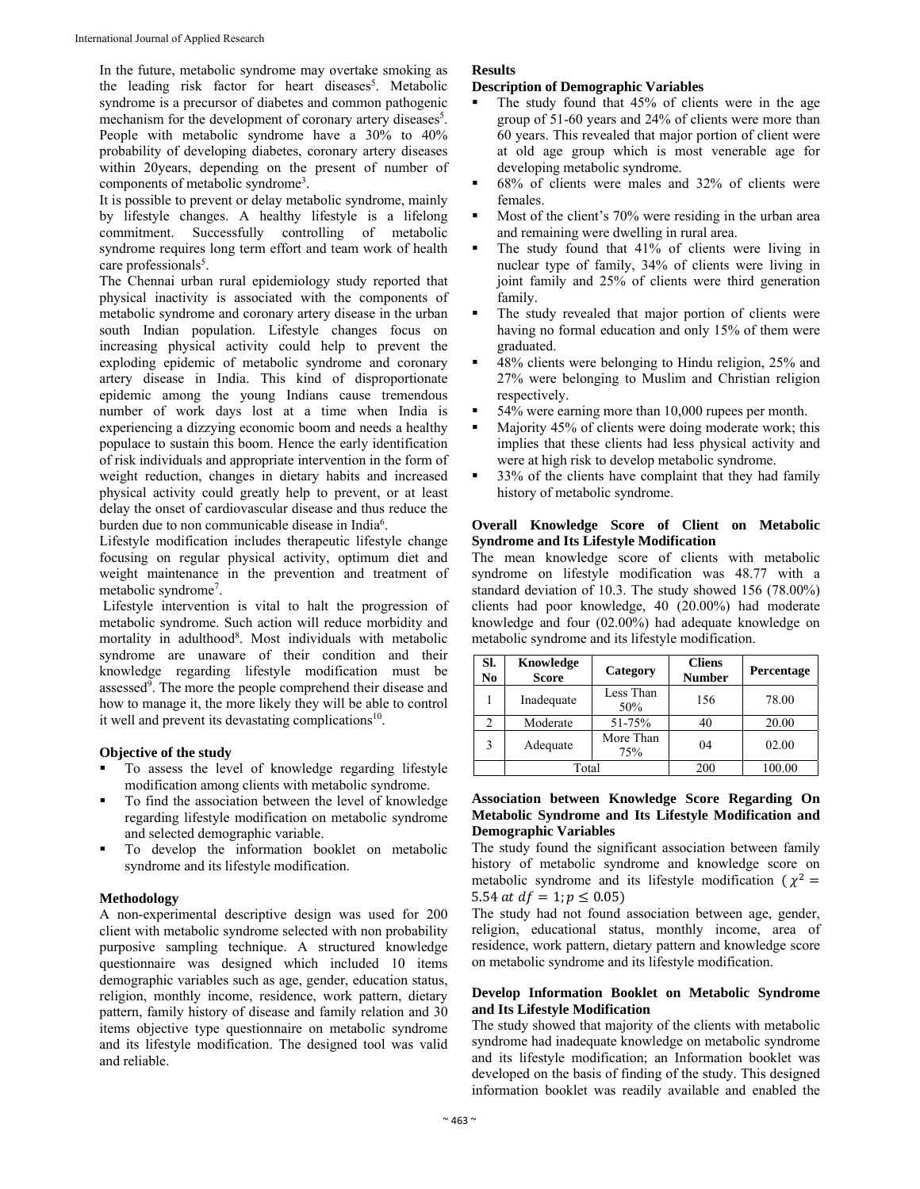In the future, metabolic syndrome may overtake smoking as the leading risk factor for heart diseases<sup>5</sup>. Metabolic syndrome is a precursor of diabetes and common pathogenic mechanism for the development of coronary artery diseases<sup>5</sup>. People with metabolic syndrome have a 30% to 40% probability of developing diabetes, coronary artery diseases within 20years, depending on the present of number of components of metabolic syndrome3 .

It is possible to prevent or delay metabolic syndrome, mainly by lifestyle changes. A healthy lifestyle is a lifelong commitment. Successfully controlling of metabolic syndrome requires long term effort and team work of health care professionals<sup>5</sup>.

The Chennai urban rural epidemiology study reported that physical inactivity is associated with the components of metabolic syndrome and coronary artery disease in the urban south Indian population. Lifestyle changes focus on increasing physical activity could help to prevent the exploding epidemic of metabolic syndrome and coronary artery disease in India. This kind of disproportionate epidemic among the young Indians cause tremendous number of work days lost at a time when India is experiencing a dizzying economic boom and needs a healthy populace to sustain this boom. Hence the early identification of risk individuals and appropriate intervention in the form of weight reduction, changes in dietary habits and increased physical activity could greatly help to prevent, or at least delay the onset of cardiovascular disease and thus reduce the burden due to non communicable disease in India<sup>6</sup>.

Lifestyle modification includes therapeutic lifestyle change focusing on regular physical activity, optimum diet and weight maintenance in the prevention and treatment of metabolic syndrome<sup>7</sup>.

 Lifestyle intervention is vital to halt the progression of metabolic syndrome. Such action will reduce morbidity and mortality in adulthood<sup>8</sup>. Most individuals with metabolic syndrome are unaware of their condition and their knowledge regarding lifestyle modification must be assessed<sup>9</sup>. The more the people comprehend their disease and how to manage it, the more likely they will be able to control it well and prevent its devastating complications<sup>10</sup>.

## **Objective of the study**

- To assess the level of knowledge regarding lifestyle modification among clients with metabolic syndrome.
- To find the association between the level of knowledge regarding lifestyle modification on metabolic syndrome and selected demographic variable.
- To develop the information booklet on metabolic syndrome and its lifestyle modification.

## **Methodology**

A non-experimental descriptive design was used for 200 client with metabolic syndrome selected with non probability purposive sampling technique. A structured knowledge questionnaire was designed which included 10 items demographic variables such as age, gender, education status, religion, monthly income, residence, work pattern, dietary pattern, family history of disease and family relation and 30 items objective type questionnaire on metabolic syndrome and its lifestyle modification. The designed tool was valid and reliable.

#### **Results**

#### **Description of Demographic Variables**

- The study found that 45% of clients were in the age group of 51-60 years and 24% of clients were more than 60 years. This revealed that major portion of client were at old age group which is most venerable age for developing metabolic syndrome.
- 68% of clients were males and 32% of clients were females.
- Most of the client's 70% were residing in the urban area and remaining were dwelling in rural area.
- The study found that 41% of clients were living in nuclear type of family, 34% of clients were living in joint family and 25% of clients were third generation family.
- The study revealed that major portion of clients were having no formal education and only 15% of them were graduated.
- 48% clients were belonging to Hindu religion, 25% and 27% were belonging to Muslim and Christian religion respectively.
- 54% were earning more than 10,000 rupees per month.
- Majority 45% of clients were doing moderate work; this implies that these clients had less physical activity and were at high risk to develop metabolic syndrome.
- <sup>33%</sup> of the clients have complaint that they had family history of metabolic syndrome.

#### **Overall Knowledge Score of Client on Metabolic Syndrome and Its Lifestyle Modification**

The mean knowledge score of clients with metabolic syndrome on lifestyle modification was 48.77 with a standard deviation of 10.3. The study showed 156 (78.00%) clients had poor knowledge, 40 (20.00%) had moderate knowledge and four (02.00%) had adequate knowledge on metabolic syndrome and its lifestyle modification.

| SI.<br>No | Knowledge<br><b>Score</b> | Category         | <b>Cliens</b><br><b>Number</b> | Percentage |
|-----------|---------------------------|------------------|--------------------------------|------------|
|           | Inadequate                | Less Than<br>50% | 156                            | 78.00      |
| 2         | Moderate                  | 51-75%           | 40                             | 20.00      |
| 3         | Adequate                  | More Than<br>75% | 04                             | 02.00      |
|           | Total                     |                  | 200                            | 100.00     |

## **Association between Knowledge Score Regarding On Metabolic Syndrome and Its Lifestyle Modification and Demographic Variables**

The study found the significant association between family history of metabolic syndrome and knowledge score on metabolic syndrome and its lifestyle modification ( $\chi^2$  = 5.54 at  $df = 1$ ;  $p \le 0.05$ )

The study had not found association between age, gender, religion, educational status, monthly income, area of residence, work pattern, dietary pattern and knowledge score on metabolic syndrome and its lifestyle modification.

## **Develop Information Booklet on Metabolic Syndrome and Its Lifestyle Modification**

The study showed that majority of the clients with metabolic syndrome had inadequate knowledge on metabolic syndrome and its lifestyle modification; an Information booklet was developed on the basis of finding of the study. This designed information booklet was readily available and enabled the